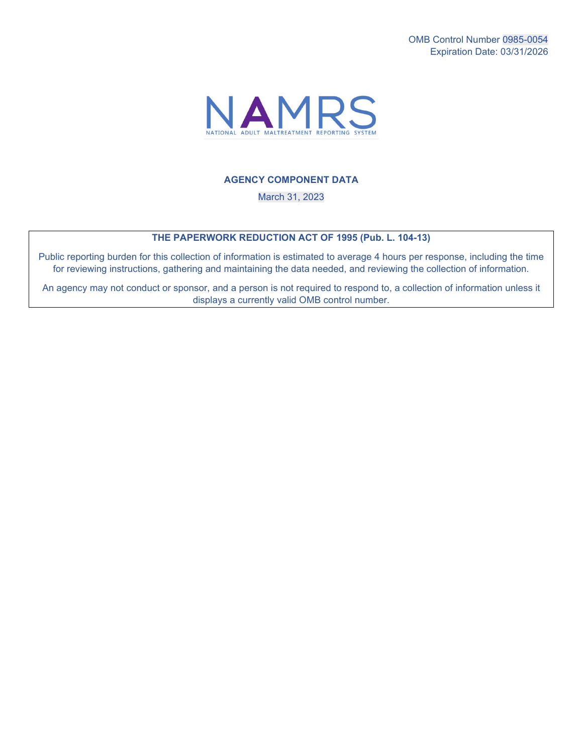

## **AGENCY COMPONENT DATA**

March 31, 2023

## **THE PAPERWORK REDUCTION ACT OF 1995 (Pub. L. 104-13)**

Public reporting burden for this collection of information is estimated to average 4 hours per response, including the time for reviewing instructions, gathering and maintaining the data needed, and reviewing the collection of information.

 displays a currently valid OMB control number. An agency may not conduct or sponsor, and a person is not required to respond to, a collection of information unless it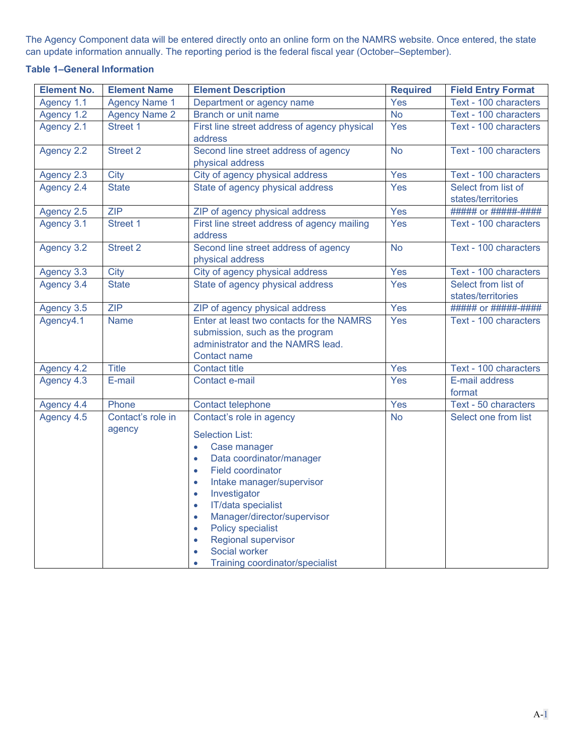The Agency Component data will be entered directly onto an online form on the NAMRS website. Once entered, the state can update information annually. The reporting period is the federal fiscal year (October–September).

## **Table 1–General Information**

| <b>Element No.</b> | <b>Element Name</b>         | <b>Element Description</b>                                                                                                                                                                                                                                                                                                                                                                                                                                                         | <b>Required</b> | <b>Field Entry Format</b>                 |
|--------------------|-----------------------------|------------------------------------------------------------------------------------------------------------------------------------------------------------------------------------------------------------------------------------------------------------------------------------------------------------------------------------------------------------------------------------------------------------------------------------------------------------------------------------|-----------------|-------------------------------------------|
| Agency 1.1         | <b>Agency Name 1</b>        | Department or agency name                                                                                                                                                                                                                                                                                                                                                                                                                                                          | Yes             | Text - 100 characters                     |
| Agency 1.2         | <b>Agency Name 2</b>        | <b>Branch or unit name</b>                                                                                                                                                                                                                                                                                                                                                                                                                                                         | <b>No</b>       | Text - 100 characters                     |
| Agency 2.1         | Street 1                    | First line street address of agency physical<br>address                                                                                                                                                                                                                                                                                                                                                                                                                            | Yes             | Text - 100 characters                     |
| Agency 2.2         | <b>Street 2</b>             | Second line street address of agency<br>physical address                                                                                                                                                                                                                                                                                                                                                                                                                           | <b>No</b>       | Text - 100 characters                     |
| Agency 2.3         | <b>City</b>                 | City of agency physical address                                                                                                                                                                                                                                                                                                                                                                                                                                                    | Yes             | Text - 100 characters                     |
| Agency 2.4         | <b>State</b>                | State of agency physical address                                                                                                                                                                                                                                                                                                                                                                                                                                                   | Yes             | Select from list of<br>states/territories |
| Agency 2.5         | <b>ZIP</b>                  | ZIP of agency physical address                                                                                                                                                                                                                                                                                                                                                                                                                                                     | Yes             | ##### or #####-####                       |
| Agency 3.1         | Street 1                    | First line street address of agency mailing<br>address                                                                                                                                                                                                                                                                                                                                                                                                                             | Yes             | Text - 100 characters                     |
| Agency 3.2         | <b>Street 2</b>             | Second line street address of agency<br>physical address                                                                                                                                                                                                                                                                                                                                                                                                                           | <b>No</b>       | Text - 100 characters                     |
| Agency 3.3         | <b>City</b>                 | City of agency physical address                                                                                                                                                                                                                                                                                                                                                                                                                                                    | Yes             | Text - 100 characters                     |
| Agency 3.4         | <b>State</b>                | State of agency physical address                                                                                                                                                                                                                                                                                                                                                                                                                                                   | Yes             | Select from list of<br>states/territories |
| Agency 3.5         | ZIP                         | ZIP of agency physical address                                                                                                                                                                                                                                                                                                                                                                                                                                                     | Yes             | ##### or #####-####                       |
| Agency4.1          | <b>Name</b>                 | Enter at least two contacts for the NAMRS<br>submission, such as the program<br>administrator and the NAMRS lead.<br><b>Contact name</b>                                                                                                                                                                                                                                                                                                                                           | Yes             | Text - 100 characters                     |
| Agency 4.2         | <b>Title</b>                | <b>Contact title</b>                                                                                                                                                                                                                                                                                                                                                                                                                                                               | Yes             | Text - 100 characters                     |
| Agency 4.3         | E-mail                      | Contact e-mail                                                                                                                                                                                                                                                                                                                                                                                                                                                                     | Yes             | E-mail address<br>format                  |
| Agency 4.4         | Phone                       | Contact telephone                                                                                                                                                                                                                                                                                                                                                                                                                                                                  | Yes             | Text - 50 characters                      |
| Agency 4.5         | Contact's role in<br>agency | Contact's role in agency<br><b>Selection List:</b><br>Case manager<br>$\bullet$<br>Data coordinator/manager<br>$\bullet$<br><b>Field coordinator</b><br>$\bullet$<br>Intake manager/supervisor<br>$\bullet$<br>Investigator<br>$\bullet$<br>IT/data specialist<br>$\bullet$<br>Manager/director/supervisor<br>$\bullet$<br>Policy specialist<br>$\bullet$<br><b>Regional supervisor</b><br>$\bullet$<br>Social worker<br>$\bullet$<br>Training coordinator/specialist<br>$\bullet$ | <b>No</b>       | Select one from list                      |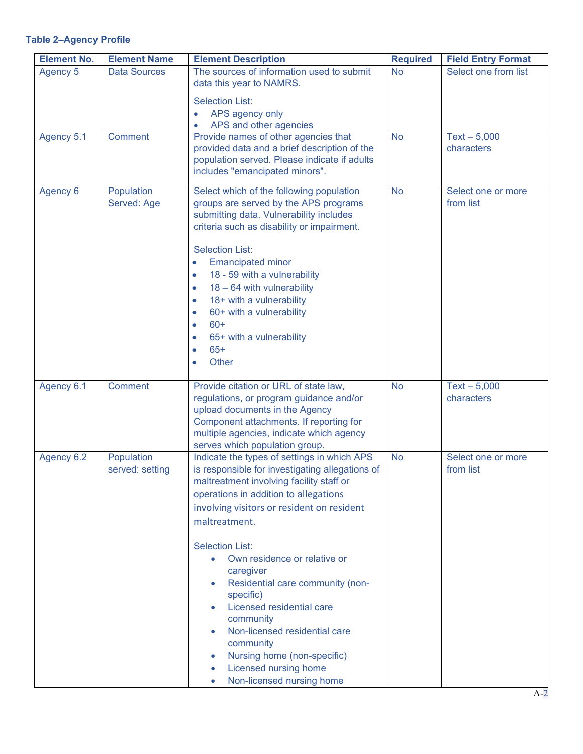## **Table 2–Agency Profile**

| <b>Element No.</b> | <b>Element Name</b>           | <b>Element Description</b>                                                                                                                                                                                                                                                                                                                                                                                                                                                                                                                                           | <b>Required</b> | <b>Field Entry Format</b>       |
|--------------------|-------------------------------|----------------------------------------------------------------------------------------------------------------------------------------------------------------------------------------------------------------------------------------------------------------------------------------------------------------------------------------------------------------------------------------------------------------------------------------------------------------------------------------------------------------------------------------------------------------------|-----------------|---------------------------------|
| Agency 5           | <b>Data Sources</b>           | The sources of information used to submit<br>data this year to NAMRS.<br><b>Selection List:</b>                                                                                                                                                                                                                                                                                                                                                                                                                                                                      | <b>No</b>       | Select one from list            |
|                    |                               | APS agency only                                                                                                                                                                                                                                                                                                                                                                                                                                                                                                                                                      |                 |                                 |
|                    |                               | APS and other agencies                                                                                                                                                                                                                                                                                                                                                                                                                                                                                                                                               |                 |                                 |
| Agency 5.1         | Comment                       | Provide names of other agencies that<br>provided data and a brief description of the<br>population served. Please indicate if adults<br>includes "emancipated minors".                                                                                                                                                                                                                                                                                                                                                                                               | <b>No</b>       | $Text - 5,000$<br>characters    |
| Agency 6           | Population<br>Served: Age     | Select which of the following population<br>groups are served by the APS programs<br>submitting data. Vulnerability includes<br>criteria such as disability or impairment.<br><b>Selection List:</b><br><b>Emancipated minor</b><br>$\bullet$<br>18 - 59 with a vulnerability<br>$\bullet$<br>18 - 64 with vulnerability<br>$\bullet$<br>18+ with a vulnerability<br>$\bullet$<br>60+ with a vulnerability<br>$\bullet$<br>$60+$<br>$\bullet$<br>65+ with a vulnerability<br>$\bullet$<br>$65+$<br>$\bullet$<br>Other<br>$\bullet$                                   | <b>No</b>       | Select one or more<br>from list |
| Agency 6.1         | Comment                       | Provide citation or URL of state law,<br>regulations, or program guidance and/or<br>upload documents in the Agency<br>Component attachments. If reporting for<br>multiple agencies, indicate which agency<br>serves which population group.                                                                                                                                                                                                                                                                                                                          | <b>No</b>       | $Text - 5,000$<br>characters    |
| Agency 6.2         | Population<br>served: setting | Indicate the types of settings in which APS<br>is responsible for investigating allegations of<br>maltreatment involving facility staff or<br>operations in addition to allegations<br>involving visitors or resident on resident<br>maltreatment.<br><b>Selection List:</b><br>Own residence or relative or<br>$\bullet$<br>caregiver<br>Residential care community (non-<br>specific)<br>Licensed residential care<br>community<br>Non-licensed residential care<br>community<br>Nursing home (non-specific)<br>Licensed nursing home<br>Non-licensed nursing home | <b>No</b>       | Select one or more<br>from list |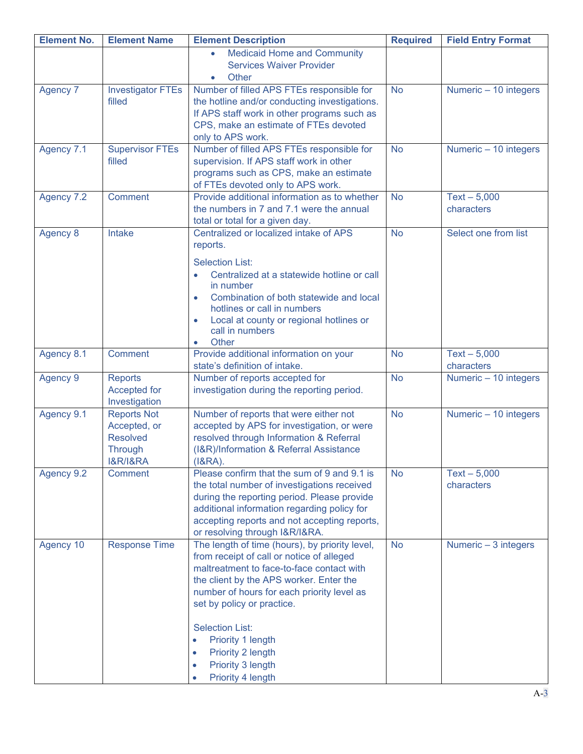| <b>Element No.</b> | <b>Element Name</b>                       | <b>Element Description</b>                                                                 | <b>Required</b> | <b>Field Entry Format</b>    |
|--------------------|-------------------------------------------|--------------------------------------------------------------------------------------------|-----------------|------------------------------|
|                    |                                           | <b>Medicaid Home and Community</b><br>$\bullet$                                            |                 |                              |
|                    |                                           | <b>Services Waiver Provider</b>                                                            |                 |                              |
|                    |                                           | Other                                                                                      |                 |                              |
| Agency 7           | <b>Investigator FTEs</b><br>filled        | Number of filled APS FTEs responsible for<br>the hotline and/or conducting investigations. | <b>No</b>       | Numeric - 10 integers        |
|                    |                                           | If APS staff work in other programs such as                                                |                 |                              |
|                    |                                           | CPS, make an estimate of FTEs devoted                                                      |                 |                              |
|                    |                                           | only to APS work.                                                                          |                 |                              |
| Agency 7.1         | <b>Supervisor FTEs</b>                    | Number of filled APS FTEs responsible for                                                  | <b>No</b>       | Numeric - 10 integers        |
|                    | filled                                    | supervision. If APS staff work in other                                                    |                 |                              |
|                    |                                           | programs such as CPS, make an estimate                                                     |                 |                              |
|                    |                                           | of FTEs devoted only to APS work.                                                          |                 |                              |
| Agency 7.2         | <b>Comment</b>                            | Provide additional information as to whether                                               | <b>No</b>       | $Text - 5,000$               |
|                    |                                           | the numbers in 7 and 7.1 were the annual                                                   |                 | characters                   |
| Agency 8           | <b>Intake</b>                             | total or total for a given day.<br>Centralized or localized intake of APS                  | <b>No</b>       | Select one from list         |
|                    |                                           | reports.                                                                                   |                 |                              |
|                    |                                           |                                                                                            |                 |                              |
|                    |                                           | <b>Selection List:</b>                                                                     |                 |                              |
|                    |                                           | Centralized at a statewide hotline or call<br>$\bullet$<br>in number                       |                 |                              |
|                    |                                           | Combination of both statewide and local<br>$\bullet$                                       |                 |                              |
|                    |                                           | hotlines or call in numbers                                                                |                 |                              |
|                    |                                           | Local at county or regional hotlines or<br>$\bullet$                                       |                 |                              |
|                    |                                           | call in numbers                                                                            |                 |                              |
|                    |                                           | Other<br>$\bullet$                                                                         |                 |                              |
| Agency 8.1         | Comment                                   | Provide additional information on your<br>state's definition of intake.                    | <b>No</b>       | $Text - 5,000$<br>characters |
| <b>Agency 9</b>    | <b>Reports</b>                            | Number of reports accepted for                                                             | <b>No</b>       | Numeric - 10 integers        |
|                    | Accepted for                              | investigation during the reporting period.                                                 |                 |                              |
|                    | Investigation                             |                                                                                            |                 |                              |
| Agency 9.1         | <b>Reports Not</b>                        | Number of reports that were either not                                                     | <b>No</b>       | Numeric - 10 integers        |
|                    | Accepted, or                              | accepted by APS for investigation, or were                                                 |                 |                              |
|                    | <b>Resolved</b>                           | resolved through Information & Referral                                                    |                 |                              |
|                    | <b>Through</b><br><b>I&amp;R/I&amp;RA</b> | (I&R)/Information & Referral Assistance<br>$(1&RA)$ .                                      |                 |                              |
| Agency 9.2         | Comment                                   | Please confirm that the sum of 9 and 9.1 is                                                | <b>No</b>       | $Text - 5,000$               |
|                    |                                           | the total number of investigations received                                                |                 | characters                   |
|                    |                                           | during the reporting period. Please provide                                                |                 |                              |
|                    |                                           | additional information regarding policy for                                                |                 |                              |
|                    |                                           | accepting reports and not accepting reports,                                               |                 |                              |
|                    |                                           | or resolving through I&R/I&RA.                                                             |                 |                              |
| Agency 10          | <b>Response Time</b>                      | The length of time (hours), by priority level,                                             | <b>No</b>       | Numeric - 3 integers         |
|                    |                                           | from receipt of call or notice of alleged                                                  |                 |                              |
|                    |                                           | maltreatment to face-to-face contact with<br>the client by the APS worker. Enter the       |                 |                              |
|                    |                                           | number of hours for each priority level as                                                 |                 |                              |
|                    |                                           | set by policy or practice.                                                                 |                 |                              |
|                    |                                           |                                                                                            |                 |                              |
|                    |                                           | <b>Selection List:</b>                                                                     |                 |                              |
|                    |                                           | Priority 1 length<br>$\bullet$                                                             |                 |                              |
|                    |                                           | Priority 2 length<br>$\bullet$                                                             |                 |                              |
|                    |                                           | Priority 3 length<br>$\bullet$                                                             |                 |                              |
|                    |                                           | Priority 4 length<br>$\bullet$                                                             |                 |                              |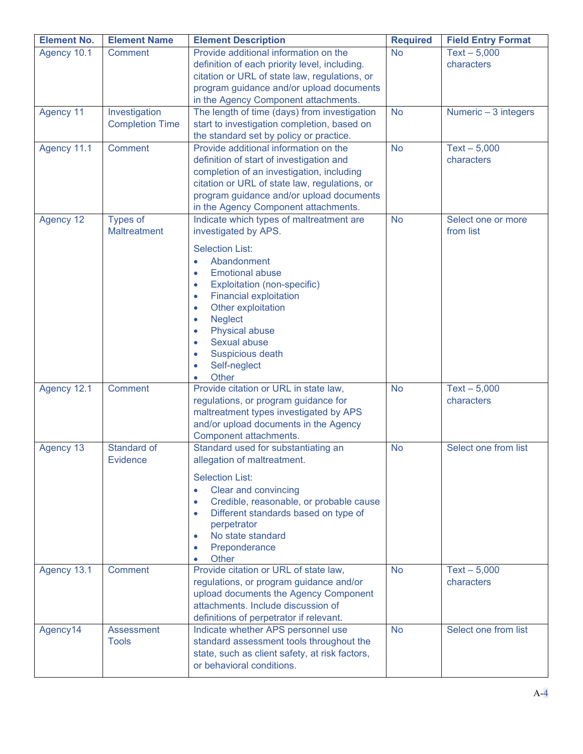| <b>Element No.</b> | <b>Element Name</b>                     | <b>Element Description</b>                                                                                                                                                                                                                                                                                                                                                                                                                          | <b>Required</b> | <b>Field Entry Format</b>       |
|--------------------|-----------------------------------------|-----------------------------------------------------------------------------------------------------------------------------------------------------------------------------------------------------------------------------------------------------------------------------------------------------------------------------------------------------------------------------------------------------------------------------------------------------|-----------------|---------------------------------|
| Agency 10.1        | <b>Comment</b>                          | Provide additional information on the<br>definition of each priority level, including.<br>citation or URL of state law, regulations, or<br>program guidance and/or upload documents<br>in the Agency Component attachments.                                                                                                                                                                                                                         | <b>No</b>       | $Text - 5,000$<br>characters    |
| Agency 11          | Investigation<br><b>Completion Time</b> | The length of time (days) from investigation<br>start to investigation completion, based on<br>the standard set by policy or practice.                                                                                                                                                                                                                                                                                                              | <b>No</b>       | Numeric $-3$ integers           |
| Agency 11.1        | <b>Comment</b>                          | Provide additional information on the<br>definition of start of investigation and<br>completion of an investigation, including<br>citation or URL of state law, regulations, or<br>program guidance and/or upload documents<br>in the Agency Component attachments.                                                                                                                                                                                 | <b>No</b>       | $Text - 5,000$<br>characters    |
| Agency 12          | <b>Types of</b><br><b>Maltreatment</b>  | Indicate which types of maltreatment are<br>investigated by APS.<br><b>Selection List:</b><br>Abandonment<br>$\bullet$<br><b>Emotional abuse</b><br>$\bullet$<br>Exploitation (non-specific)<br>$\bullet$<br><b>Financial exploitation</b><br>$\bullet$<br>Other exploitation<br>$\bullet$<br><b>Neglect</b><br>$\bullet$<br>Physical abuse<br>$\bullet$<br>Sexual abuse<br>$\bullet$<br>Suspicious death<br>$\bullet$<br>Self-neglect<br>$\bullet$ | <b>No</b>       | Select one or more<br>from list |
| Agency 12.1        | <b>Comment</b>                          | Other<br>$\bullet$<br>Provide citation or URL in state law,<br>regulations, or program guidance for<br>maltreatment types investigated by APS<br>and/or upload documents in the Agency<br>Component attachments.                                                                                                                                                                                                                                    | <b>No</b>       | $Text - 5,000$<br>characters    |
| Agency 13          | Standard of<br>Evidence                 | Standard used for substantiating an<br>allegation of maltreatment.<br><b>Selection List:</b><br>Clear and convincing<br>$\bullet$<br>Credible, reasonable, or probable cause<br>0<br>Different standards based on type of<br>$\bullet$<br>perpetrator<br>No state standard<br>$\bullet$<br>Preponderance<br>$\bullet$<br>Other<br>۰                                                                                                                 | <b>No</b>       | Select one from list            |
| Agency 13.1        | <b>Comment</b>                          | Provide citation or URL of state law,<br>regulations, or program guidance and/or<br>upload documents the Agency Component<br>attachments. Include discussion of<br>definitions of perpetrator if relevant.                                                                                                                                                                                                                                          | <b>No</b>       | $Text - 5,000$<br>characters    |
| Agency14           | Assessment<br><b>Tools</b>              | Indicate whether APS personnel use<br>standard assessment tools throughout the<br>state, such as client safety, at risk factors,<br>or behavioral conditions.                                                                                                                                                                                                                                                                                       | <b>No</b>       | Select one from list            |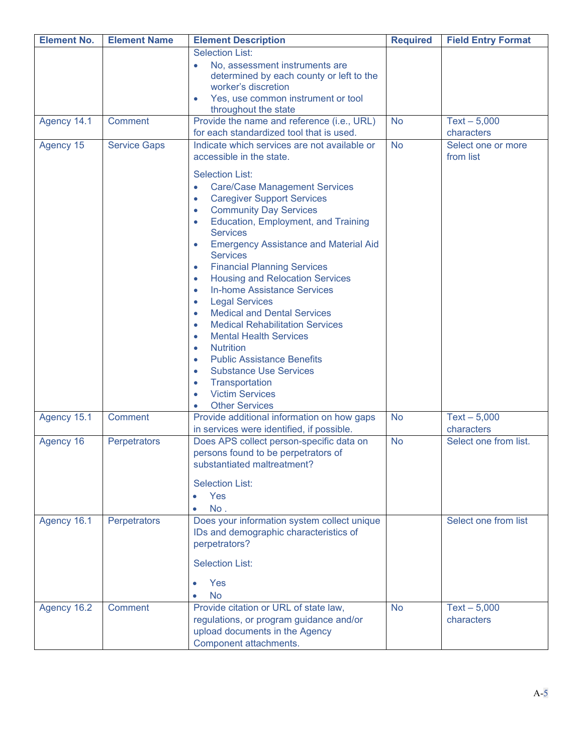| <b>Field Entry Format</b>    |
|------------------------------|
|                              |
|                              |
|                              |
|                              |
|                              |
| $Text - 5,000$<br>characters |
| Select one or more           |
| from list                    |
|                              |
|                              |
|                              |
|                              |
|                              |
|                              |
|                              |
|                              |
|                              |
|                              |
|                              |
|                              |
|                              |
|                              |
|                              |
|                              |
|                              |
| $Text - 5,000$               |
| characters                   |
| Select one from list.        |
|                              |
|                              |
|                              |
|                              |
| Select one from list         |
|                              |
|                              |
|                              |
|                              |
|                              |
| $Text - 5,000$               |
| characters                   |
|                              |
|                              |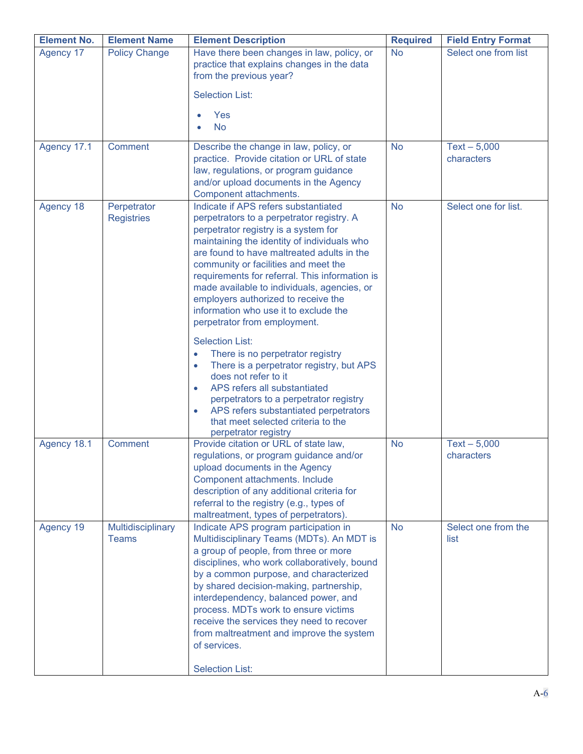| <b>Element No.</b> | <b>Element Name</b>               | <b>Element Description</b>                                                                                                                                                                                                                                                                                                                                                                                                                                                                                                                                                                                                                                                                                                                                                                                                     | <b>Required</b> | <b>Field Entry Format</b>    |
|--------------------|-----------------------------------|--------------------------------------------------------------------------------------------------------------------------------------------------------------------------------------------------------------------------------------------------------------------------------------------------------------------------------------------------------------------------------------------------------------------------------------------------------------------------------------------------------------------------------------------------------------------------------------------------------------------------------------------------------------------------------------------------------------------------------------------------------------------------------------------------------------------------------|-----------------|------------------------------|
| Agency 17          | <b>Policy Change</b>              | Have there been changes in law, policy, or<br>practice that explains changes in the data<br>from the previous year?                                                                                                                                                                                                                                                                                                                                                                                                                                                                                                                                                                                                                                                                                                            | <b>No</b>       | Select one from list         |
|                    |                                   | <b>Selection List:</b>                                                                                                                                                                                                                                                                                                                                                                                                                                                                                                                                                                                                                                                                                                                                                                                                         |                 |                              |
|                    |                                   | Yes                                                                                                                                                                                                                                                                                                                                                                                                                                                                                                                                                                                                                                                                                                                                                                                                                            |                 |                              |
|                    |                                   | <b>No</b><br>$\bullet$                                                                                                                                                                                                                                                                                                                                                                                                                                                                                                                                                                                                                                                                                                                                                                                                         |                 |                              |
| Agency 17.1        | <b>Comment</b>                    | Describe the change in law, policy, or<br>practice. Provide citation or URL of state<br>law, regulations, or program guidance<br>and/or upload documents in the Agency<br>Component attachments.                                                                                                                                                                                                                                                                                                                                                                                                                                                                                                                                                                                                                               | <b>No</b>       | $Text - 5,000$<br>characters |
| Agency 18          | Perpetrator<br><b>Registries</b>  | Indicate if APS refers substantiated<br>perpetrators to a perpetrator registry. A<br>perpetrator registry is a system for<br>maintaining the identity of individuals who<br>are found to have maltreated adults in the<br>community or facilities and meet the<br>requirements for referral. This information is<br>made available to individuals, agencies, or<br>employers authorized to receive the<br>information who use it to exclude the<br>perpetrator from employment.<br><b>Selection List:</b><br>There is no perpetrator registry<br>$\bullet$<br>There is a perpetrator registry, but APS<br>$\bullet$<br>does not refer to it<br>APS refers all substantiated<br>$\bullet$<br>perpetrators to a perpetrator registry<br>APS refers substantiated perpetrators<br>$\bullet$<br>that meet selected criteria to the | <b>No</b>       | Select one for list.         |
| Agency 18.1        | <b>Comment</b>                    | perpetrator registry<br>Provide citation or URL of state law,<br>regulations, or program guidance and/or<br>upload documents in the Agency<br>Component attachments. Include<br>description of any additional criteria for<br>referral to the registry (e.g., types of<br>maltreatment, types of perpetrators).                                                                                                                                                                                                                                                                                                                                                                                                                                                                                                                | <b>No</b>       | $Text - 5,000$<br>characters |
| Agency 19          | Multidisciplinary<br><b>Teams</b> | Indicate APS program participation in<br>Multidisciplinary Teams (MDTs). An MDT is<br>a group of people, from three or more<br>disciplines, who work collaboratively, bound<br>by a common purpose, and characterized<br>by shared decision-making, partnership,<br>interdependency, balanced power, and<br>process. MDTs work to ensure victims<br>receive the services they need to recover<br>from maltreatment and improve the system<br>of services.<br><b>Selection List:</b>                                                                                                                                                                                                                                                                                                                                            | <b>No</b>       | Select one from the<br>list  |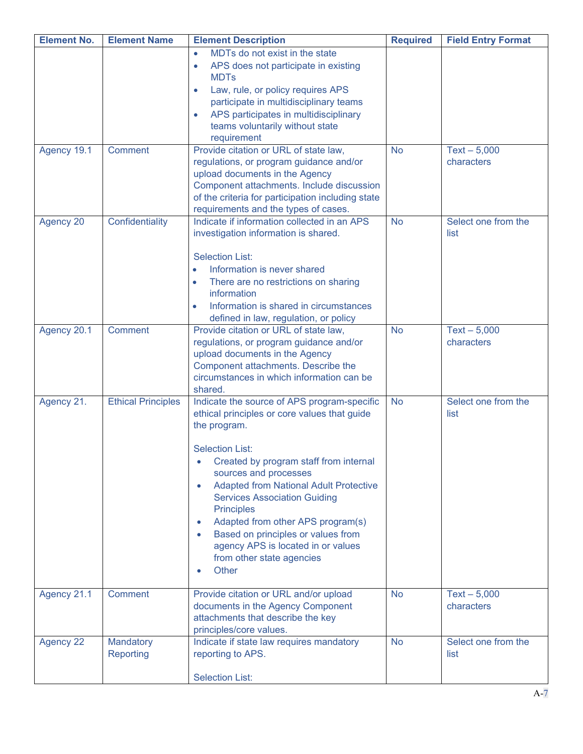| <b>Element No.</b> | <b>Element Name</b>           | <b>Element Description</b>                                                                                                                                                                                                                                                                                                                                                                                                                                                                | <b>Required</b> | <b>Field Entry Format</b>    |
|--------------------|-------------------------------|-------------------------------------------------------------------------------------------------------------------------------------------------------------------------------------------------------------------------------------------------------------------------------------------------------------------------------------------------------------------------------------------------------------------------------------------------------------------------------------------|-----------------|------------------------------|
|                    |                               | MDTs do not exist in the state<br>$\bullet$<br>APS does not participate in existing<br>$\bullet$<br><b>MDTs</b><br>Law, rule, or policy requires APS<br>$\bullet$<br>participate in multidisciplinary teams<br>APS participates in multidisciplinary<br>$\bullet$<br>teams voluntarily without state<br>requirement                                                                                                                                                                       |                 |                              |
| Agency 19.1        | Comment                       | Provide citation or URL of state law,<br>regulations, or program guidance and/or<br>upload documents in the Agency<br>Component attachments. Include discussion<br>of the criteria for participation including state<br>requirements and the types of cases.                                                                                                                                                                                                                              | <b>No</b>       | $Text - 5,000$<br>characters |
| Agency 20          | Confidentiality               | Indicate if information collected in an APS<br>investigation information is shared.<br><b>Selection List:</b><br>Information is never shared<br>$\bullet$<br>There are no restrictions on sharing<br>$\bullet$<br>information<br>Information is shared in circumstances<br>$\bullet$<br>defined in law, regulation, or policy                                                                                                                                                             | <b>No</b>       | Select one from the<br>list  |
| Agency 20.1        | Comment                       | Provide citation or URL of state law,<br>regulations, or program guidance and/or<br>upload documents in the Agency<br>Component attachments. Describe the<br>circumstances in which information can be<br>shared.                                                                                                                                                                                                                                                                         | <b>No</b>       | $Text - 5,000$<br>characters |
| Agency 21.         | <b>Ethical Principles</b>     | Indicate the source of APS program-specific<br>ethical principles or core values that guide<br>the program.<br><b>Selection List:</b><br>Created by program staff from internal<br>sources and processes<br><b>Adapted from National Adult Protective</b><br>$\bullet$<br><b>Services Association Guiding</b><br><b>Principles</b><br>Adapted from other APS program(s)<br>Based on principles or values from<br>agency APS is located in or values<br>from other state agencies<br>Other | <b>No</b>       | Select one from the<br>list  |
| Agency 21.1        | Comment                       | Provide citation or URL and/or upload<br>documents in the Agency Component<br>attachments that describe the key<br>principles/core values.                                                                                                                                                                                                                                                                                                                                                | <b>No</b>       | $Text - 5,000$<br>characters |
| <b>Agency 22</b>   | Mandatory<br><b>Reporting</b> | Indicate if state law requires mandatory<br>reporting to APS.<br><b>Selection List:</b>                                                                                                                                                                                                                                                                                                                                                                                                   | <b>No</b>       | Select one from the<br>list  |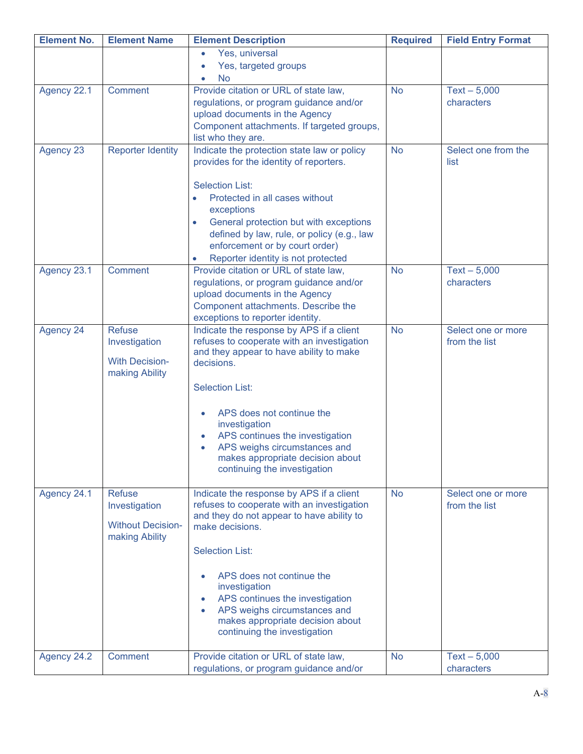| <b>Element No.</b> | <b>Element Name</b>                     | <b>Element Description</b>                                                                        | <b>Required</b> | <b>Field Entry Format</b>           |
|--------------------|-----------------------------------------|---------------------------------------------------------------------------------------------------|-----------------|-------------------------------------|
|                    |                                         | Yes, universal<br>$\bullet$                                                                       |                 |                                     |
|                    |                                         | Yes, targeted groups<br>$\bullet$<br>No<br>ō                                                      |                 |                                     |
| Agency 22.1        | Comment                                 | Provide citation or URL of state law,                                                             | <b>No</b>       | $Text - 5,000$                      |
|                    |                                         | regulations, or program guidance and/or                                                           |                 | characters                          |
|                    |                                         | upload documents in the Agency<br>Component attachments. If targeted groups,                      |                 |                                     |
|                    |                                         | list who they are.                                                                                |                 |                                     |
| Agency 23          | <b>Reporter Identity</b>                | Indicate the protection state law or policy                                                       | <b>No</b>       | Select one from the                 |
|                    |                                         | provides for the identity of reporters.                                                           |                 | list                                |
|                    |                                         | <b>Selection List:</b>                                                                            |                 |                                     |
|                    |                                         | Protected in all cases without<br>$\bullet$                                                       |                 |                                     |
|                    |                                         | exceptions                                                                                        |                 |                                     |
|                    |                                         | General protection but with exceptions<br>$\bullet$<br>defined by law, rule, or policy (e.g., law |                 |                                     |
|                    |                                         | enforcement or by court order)                                                                    |                 |                                     |
|                    |                                         | Reporter identity is not protected                                                                |                 |                                     |
| Agency 23.1        | Comment                                 | Provide citation or URL of state law,<br>regulations, or program guidance and/or                  | <b>No</b>       | $Text - 5,000$<br>characters        |
|                    |                                         | upload documents in the Agency                                                                    |                 |                                     |
|                    |                                         | Component attachments. Describe the                                                               |                 |                                     |
|                    |                                         | exceptions to reporter identity.                                                                  |                 |                                     |
| Agency 24          | <b>Refuse</b><br>Investigation          | Indicate the response by APS if a client<br>refuses to cooperate with an investigation            | <b>No</b>       | Select one or more<br>from the list |
|                    |                                         | and they appear to have ability to make                                                           |                 |                                     |
|                    | <b>With Decision-</b><br>making Ability | decisions.                                                                                        |                 |                                     |
|                    |                                         | <b>Selection List:</b>                                                                            |                 |                                     |
|                    |                                         |                                                                                                   |                 |                                     |
|                    |                                         | APS does not continue the<br>$\bullet$<br>investigation                                           |                 |                                     |
|                    |                                         | APS continues the investigation<br>$\bullet$                                                      |                 |                                     |
|                    |                                         | APS weighs circumstances and<br>$\bullet$                                                         |                 |                                     |
|                    |                                         | makes appropriate decision about<br>continuing the investigation                                  |                 |                                     |
|                    |                                         |                                                                                                   |                 |                                     |
| Agency 24.1        | <b>Refuse</b>                           | Indicate the response by APS if a client                                                          | <b>No</b>       | Select one or more                  |
|                    | Investigation                           | refuses to cooperate with an investigation<br>and they do not appear to have ability to           |                 | from the list                       |
|                    | <b>Without Decision-</b>                | make decisions.                                                                                   |                 |                                     |
|                    | making Ability                          | <b>Selection List:</b>                                                                            |                 |                                     |
|                    |                                         |                                                                                                   |                 |                                     |
|                    |                                         | APS does not continue the<br>$\bullet$                                                            |                 |                                     |
|                    |                                         | investigation<br>APS continues the investigation<br>$\bullet$                                     |                 |                                     |
|                    |                                         | APS weighs circumstances and<br>$\bullet$                                                         |                 |                                     |
|                    |                                         | makes appropriate decision about                                                                  |                 |                                     |
|                    |                                         | continuing the investigation                                                                      |                 |                                     |
| Agency 24.2        | Comment                                 | Provide citation or URL of state law,                                                             | <b>No</b>       | $Text - 5,000$                      |
|                    |                                         | regulations, or program guidance and/or                                                           |                 | characters                          |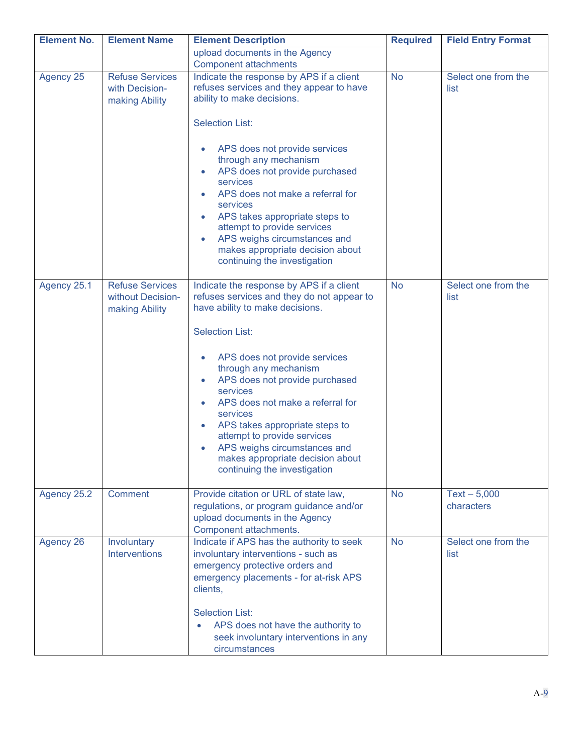| <b>Element No.</b> | <b>Element Name</b>                                           | <b>Element Description</b>                                                                                                                                                                                                                                                                                                                                                                                                          | <b>Required</b> | <b>Field Entry Format</b>   |
|--------------------|---------------------------------------------------------------|-------------------------------------------------------------------------------------------------------------------------------------------------------------------------------------------------------------------------------------------------------------------------------------------------------------------------------------------------------------------------------------------------------------------------------------|-----------------|-----------------------------|
|                    |                                                               | upload documents in the Agency                                                                                                                                                                                                                                                                                                                                                                                                      |                 |                             |
|                    |                                                               | <b>Component attachments</b>                                                                                                                                                                                                                                                                                                                                                                                                        |                 |                             |
| Agency 25          | <b>Refuse Services</b><br>with Decision-<br>making Ability    | Indicate the response by APS if a client<br>refuses services and they appear to have<br>ability to make decisions.                                                                                                                                                                                                                                                                                                                  | <b>No</b>       | Select one from the<br>list |
|                    |                                                               | <b>Selection List:</b>                                                                                                                                                                                                                                                                                                                                                                                                              |                 |                             |
|                    |                                                               | APS does not provide services<br>$\bullet$<br>through any mechanism<br>APS does not provide purchased<br>$\bullet$<br>services<br>APS does not make a referral for<br>$\bullet$<br>services<br>APS takes appropriate steps to<br>$\bullet$<br>attempt to provide services<br>APS weighs circumstances and<br>$\bullet$<br>makes appropriate decision about<br>continuing the investigation                                          |                 |                             |
| Agency 25.1        | <b>Refuse Services</b><br>without Decision-<br>making Ability | Indicate the response by APS if a client<br>refuses services and they do not appear to<br>have ability to make decisions.                                                                                                                                                                                                                                                                                                           | <b>No</b>       | Select one from the<br>list |
|                    |                                                               | <b>Selection List:</b>                                                                                                                                                                                                                                                                                                                                                                                                              |                 |                             |
| Agency 25.2        | Comment                                                       | APS does not provide services<br>$\bullet$<br>through any mechanism<br>APS does not provide purchased<br>$\bullet$<br>services<br>APS does not make a referral for<br>$\bullet$<br>services<br>APS takes appropriate steps to<br>$\bullet$<br>attempt to provide services<br>APS weighs circumstances and<br>$\bullet$<br>makes appropriate decision about<br>continuing the investigation<br>Provide citation or URL of state law, | <b>No</b>       | $Text - 5,000$              |
|                    |                                                               | regulations, or program guidance and/or<br>upload documents in the Agency<br>Component attachments.                                                                                                                                                                                                                                                                                                                                 |                 | characters                  |
| Agency 26          | Involuntary<br><b>Interventions</b>                           | Indicate if APS has the authority to seek<br>involuntary interventions - such as<br>emergency protective orders and<br>emergency placements - for at-risk APS<br>clients,<br><b>Selection List:</b><br>APS does not have the authority to<br>seek involuntary interventions in any<br>circumstances                                                                                                                                 | <b>No</b>       | Select one from the<br>list |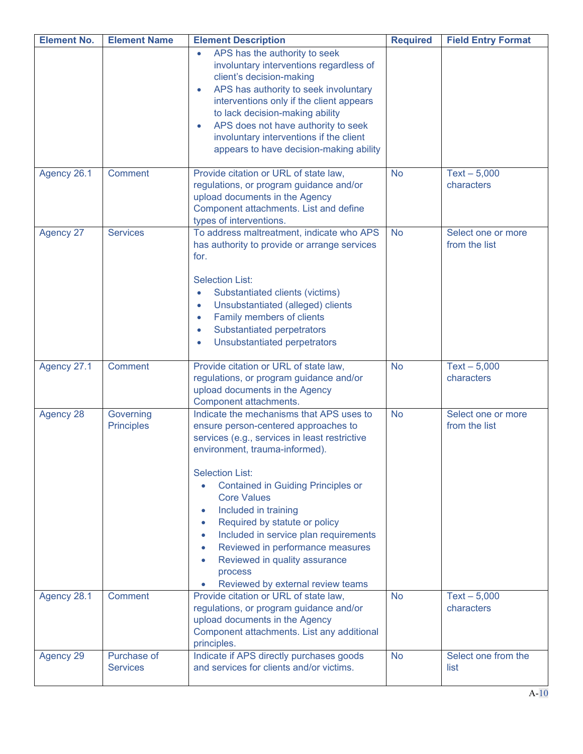| <b>Element No.</b> | <b>Element Name</b>            | <b>Element Description</b>                                                                                                                                                                                                                                                                                                                                                                                                                                                                                                                                            | <b>Required</b> | <b>Field Entry Format</b>           |
|--------------------|--------------------------------|-----------------------------------------------------------------------------------------------------------------------------------------------------------------------------------------------------------------------------------------------------------------------------------------------------------------------------------------------------------------------------------------------------------------------------------------------------------------------------------------------------------------------------------------------------------------------|-----------------|-------------------------------------|
|                    |                                | APS has the authority to seek<br>$\bullet$<br>involuntary interventions regardless of<br>client's decision-making<br>APS has authority to seek involuntary<br>interventions only if the client appears<br>to lack decision-making ability<br>APS does not have authority to seek<br>$\bullet$<br>involuntary interventions if the client<br>appears to have decision-making ability                                                                                                                                                                                   |                 |                                     |
| Agency 26.1        | <b>Comment</b>                 | Provide citation or URL of state law,<br>regulations, or program guidance and/or<br>upload documents in the Agency<br>Component attachments. List and define<br>types of interventions.                                                                                                                                                                                                                                                                                                                                                                               | <b>No</b>       | $Text - 5,000$<br>characters        |
| <b>Agency 27</b>   | <b>Services</b>                | To address maltreatment, indicate who APS<br>has authority to provide or arrange services<br>for.<br><b>Selection List:</b><br>Substantiated clients (victims)<br>$\bullet$<br>Unsubstantiated (alleged) clients<br>$\bullet$<br>Family members of clients<br>$\bullet$<br>Substantiated perpetrators<br>$\bullet$<br>Unsubstantiated perpetrators<br>$\bullet$                                                                                                                                                                                                       | <b>No</b>       | Select one or more<br>from the list |
| Agency 27.1        | <b>Comment</b>                 | Provide citation or URL of state law,<br>regulations, or program guidance and/or<br>upload documents in the Agency<br>Component attachments.                                                                                                                                                                                                                                                                                                                                                                                                                          | <b>No</b>       | $Text - 5,000$<br>characters        |
| Agency 28          | Governing<br><b>Principles</b> | Indicate the mechanisms that APS uses to<br>ensure person-centered approaches to<br>services (e.g., services in least restrictive<br>environment, trauma-informed).<br><b>Selection List:</b><br><b>Contained in Guiding Principles or</b><br>$\bullet$<br><b>Core Values</b><br>Included in training<br>$\bullet$<br>Required by statute or policy<br>$\bullet$<br>Included in service plan requirements<br>$\bullet$<br>Reviewed in performance measures<br>$\bullet$<br>Reviewed in quality assurance<br>$\bullet$<br>process<br>Reviewed by external review teams | <b>No</b>       | Select one or more<br>from the list |
| Agency 28.1        | <b>Comment</b>                 | Provide citation or URL of state law,<br>regulations, or program guidance and/or<br>upload documents in the Agency<br>Component attachments. List any additional<br>principles.                                                                                                                                                                                                                                                                                                                                                                                       | <b>No</b>       | $Text - 5,000$<br>characters        |
| <b>Agency 29</b>   | Purchase of<br><b>Services</b> | Indicate if APS directly purchases goods<br>and services for clients and/or victims.                                                                                                                                                                                                                                                                                                                                                                                                                                                                                  | <b>No</b>       | Select one from the<br>list         |